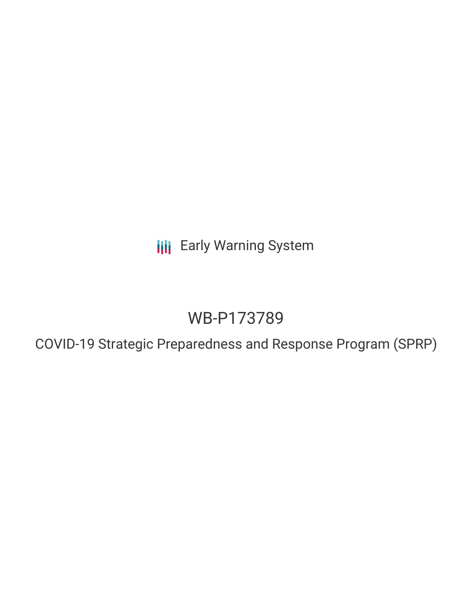**III** Early Warning System

# WB-P173789

COVID-19 Strategic Preparedness and Response Program (SPRP)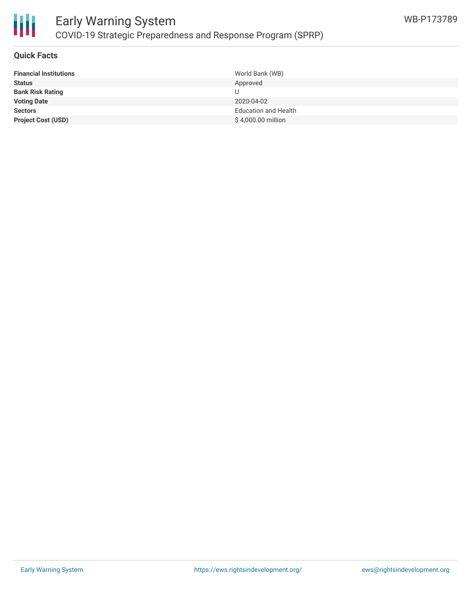

#### **Quick Facts**

| <b>Financial Institutions</b> | World Bank (WB)             |
|-------------------------------|-----------------------------|
| <b>Status</b>                 | Approved                    |
| <b>Bank Risk Rating</b>       | U                           |
| <b>Voting Date</b>            | 2020-04-02                  |
| <b>Sectors</b>                | <b>Education and Health</b> |
| <b>Project Cost (USD)</b>     | \$4,000.00 million          |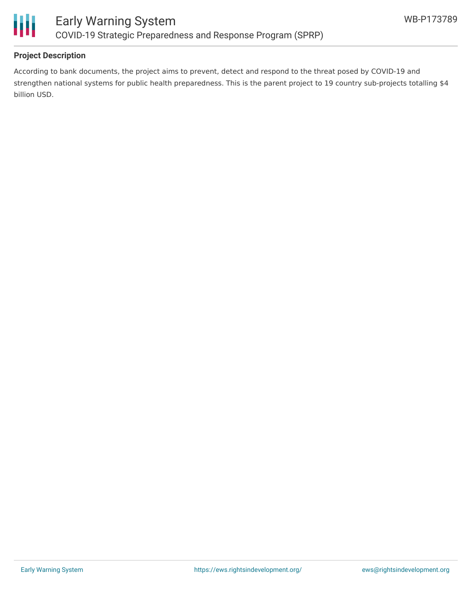

### **Project Description**

According to bank documents, the project aims to prevent, detect and respond to the threat posed by COVID-19 and strengthen national systems for public health preparedness. This is the parent project to 19 country sub-projects totalling \$4 billion USD.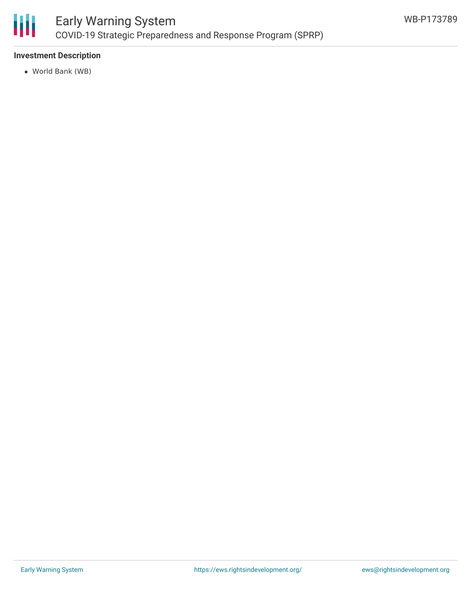

### **Investment Description**

World Bank (WB)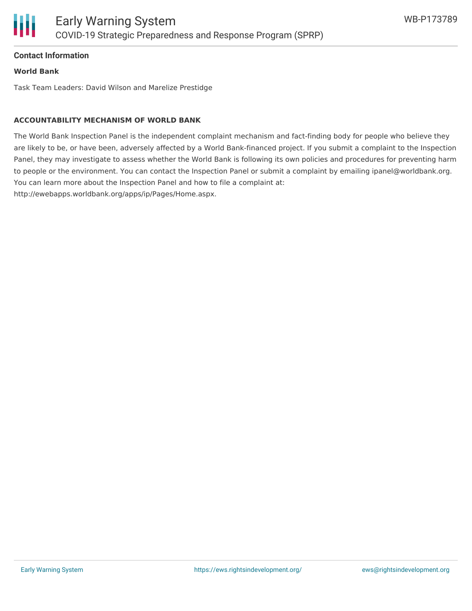#### **Contact Information**

#### **World Bank**

Task Team Leaders: David Wilson and Marelize Prestidge

#### **ACCOUNTABILITY MECHANISM OF WORLD BANK**

The World Bank Inspection Panel is the independent complaint mechanism and fact-finding body for people who believe they are likely to be, or have been, adversely affected by a World Bank-financed project. If you submit a complaint to the Inspection Panel, they may investigate to assess whether the World Bank is following its own policies and procedures for preventing harm to people or the environment. You can contact the Inspection Panel or submit a complaint by emailing ipanel@worldbank.org. You can learn more about the Inspection Panel and how to file a complaint at: http://ewebapps.worldbank.org/apps/ip/Pages/Home.aspx.